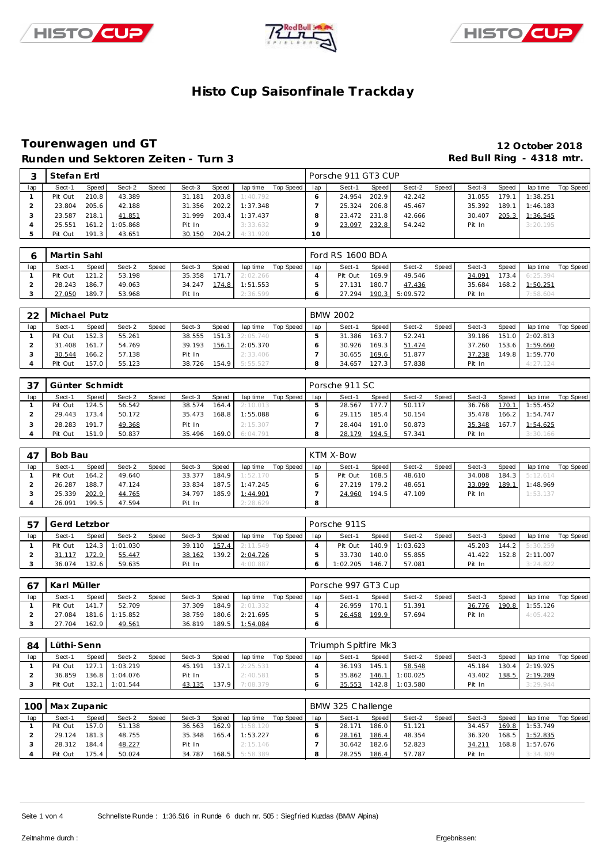





### **Tourenwagen und GT 12 October 2018** Runden und Sektoren Zeiten - Turn 3 **abel and Sektoren Zeiten - Turn 3 Red Bull Ring - 4318 mtr.**

|     | Stefan Ertl |       |          |       |        |       |          |           |     | Porsche 911 GT3 CUP |       |        |       |        |       |          |           |
|-----|-------------|-------|----------|-------|--------|-------|----------|-----------|-----|---------------------|-------|--------|-------|--------|-------|----------|-----------|
| lap | Sect-1      | Speed | Sect-2   | Speed | Sect-3 | Speed | lap time | Top Speed | lap | Sect-1              | Speed | Sect-2 | Speed | Sect-3 | Speed | lap time | Top Speed |
|     | Pit Out     | 210.8 | 43.389   |       | 31.181 | 203.8 | 1:40.792 |           |     | 24.954              | 202.9 | 42.242 |       | 31.055 | 179.1 | 1:38.251 |           |
|     | 23.804      | 205.6 | 42.188   |       | 31.356 | 202.2 | 1:37.348 |           |     | 25.324              | 206.8 | 45.467 |       | 35.392 | 189.1 | 1:46.183 |           |
|     | 23.587      | 218.1 | 41.851   |       | 31.999 | 203.4 | 1:37.437 |           |     | 23.472              | 231.8 | 42.666 |       | 30.407 | 205.3 | 1:36.545 |           |
|     | 25.551      | 161.2 | 1:05.868 |       | Pit In |       | 3:33.632 |           |     | 23.097              | 232.8 | 54.242 |       | Pit In |       | 3:20.195 |           |
|     | Pit Out     | 191.3 | 43.651   |       | 30.150 | 204.2 | 4:31.920 |           | 10  |                     |       |        |       |        |       |          |           |

|     | Martin Sahl |         |        |              |        |         |          |           |     | Ford RS 1600 BDA |         |          |       |        |       |                |           |
|-----|-------------|---------|--------|--------------|--------|---------|----------|-----------|-----|------------------|---------|----------|-------|--------|-------|----------------|-----------|
| lap | Sect-1      | Speed I | Sect-2 | <b>Speed</b> | Sect-3 | Speed   | lap time | Top Speed | lap | Sect-1           | Speed I | Sect-2   | Speed | Sect-3 | Speed | lap time       | Top Speed |
|     | Pit Out     | 121.2   | 53.198 |              | 35.358 | 1717    | 2:02.266 |           |     | Pit Out          | 169.9   | 49.546   |       | 34.091 |       | 173.4 6:25.394 |           |
|     | 28.243      | 186.7   | 49.063 |              | 34.247 | 174.8 I | 1:51.553 |           |     | 27.131           | 180.7   | 47.436   |       | 35.684 |       | 168.2 1:50.251 |           |
|     | 27.050      | 189.7   | 53.968 |              | Pit In |         | 2:36.599 |           |     | 27.294           | 190.3   | 5:09.572 |       | Pit In |       | 7:58.604       |           |

| 22  | Michael Putz |         |        |              |        |       |          |           |     | <b>BMW 2002</b> |       |        |                    |        |       |          |           |
|-----|--------------|---------|--------|--------------|--------|-------|----------|-----------|-----|-----------------|-------|--------|--------------------|--------|-------|----------|-----------|
| lap | Sect-1       | Speed   | Sect-2 | <b>Speed</b> | Sect-3 | Speed | lap time | Top Speed | lap | Sect-1          | Speed | Sect-2 | Speed <sub>1</sub> | Sect-3 | Speed | lap time | Top Speed |
|     | Pit Out      | 152.3   | 55.261 |              | 38.555 | 151.3 | 2:05.740 |           |     | 31.386          | 163.7 | 52.241 |                    | 39.186 | 151.0 | 2:02.813 |           |
|     | 31.408       | 161.7   | 54.769 |              | 39.193 | 156.1 | 2:05.370 |           |     | 30.926          | 169.3 | 51.474 |                    | 37.260 | 153.6 | 1:59.660 |           |
|     | 30.544       | 166.2   | 57.138 |              | Pit In |       | 2:33.406 |           |     | 30.655          | 169.6 | 51.877 |                    | 37.238 | 149.8 | 1:59.770 |           |
|     | Pit Out      | 157.0 l | 55.123 |              | 38.726 | 154.9 | 5:55.527 |           |     | 34.657          | 127.3 | 57.838 |                    | Pit In |       | 4:27.124 |           |

| -37 | Günter Schmidt |       |        |       |        |       |          |           |     | Porsche 911 SC |         |        |       |        |       |          |           |
|-----|----------------|-------|--------|-------|--------|-------|----------|-----------|-----|----------------|---------|--------|-------|--------|-------|----------|-----------|
| lap | Sect-1         | Speed | Sect-2 | Speed | Sect-3 | Speed | lap time | Top Speed | lap | Sect-1         | Speed I | Sect-2 | Speed | Sect-3 | Speed | lap time | Top Speed |
|     | Pit Out        | 124.5 | 56.542 |       | 38.574 | 164.4 | 2:10.013 |           |     | 28.567         | 177.7   | 50.117 |       | 36.768 | 170.1 | 1:55.452 |           |
|     | 29.443         | 173.4 | 50.172 |       | 35.473 | 168.8 | 1:55.088 |           |     | 29.115         | 185.4   | 50.154 |       | 35.478 | 166.2 | 1:54.747 |           |
|     | 28.283         | 191.7 | 49.368 |       | Pit In |       | 2:15.307 |           |     | 28.404         | 191.0   | 50.873 |       | 35.348 | 167.7 | 1:54.625 |           |
|     | Pit Out        | 151.9 | 50.837 |       | 35.496 | 169.0 | 6:04.791 |           |     | 28.179         | 194.5   | 57.341 |       | Pit In |       | 3:30.166 |           |

| 47  | Bob Bau |       |        |       |        |       |                |           |     | KTM X-Bow |         |        |       |        |       |                |           |
|-----|---------|-------|--------|-------|--------|-------|----------------|-----------|-----|-----------|---------|--------|-------|--------|-------|----------------|-----------|
| lap | Sect-1  | Speed | Sect-2 | Speed | Sect-3 | Speed | lap time       | Top Speed | lap | Sect-1    | Speed I | Sect-2 | Speed | Sect-3 | Speed | lap time       | Top Speed |
|     | Pit Out | 164.2 | 49.640 |       | 33.377 | 184.9 | 1:52.170       |           |     | Pit Out   | 168.5   | 48.610 |       | 34.008 |       | 184.3 5:12.614 |           |
|     | 26.287  | 188.7 | 47.124 |       | 33.834 |       | 187.5 1:47.245 |           |     | 27.219    | 179.2   | 48.651 |       | 33.099 | 189.1 | 1:48.969       |           |
|     | 25.339  | 202.9 | 44.765 |       | 34.797 | 185.9 | 1:44.901       |           |     | 24.960    | 194.5   | 47.109 |       | Pit In |       | 1:53.137       |           |
|     | 26.091  | 199.5 | 47.594 |       | Pit In |       | 2:28.629       |           | 8   |           |         |        |       |        |       |                |           |

|     | Gerd Letzbor |         |                  |       |        |       |          |           |     | Porsche 911S |                    |                |       |        |       |                |           |
|-----|--------------|---------|------------------|-------|--------|-------|----------|-----------|-----|--------------|--------------------|----------------|-------|--------|-------|----------------|-----------|
| lap | Sect-1       | Speed i | Sect-2           | Speed | Sect-3 | Speed | lap time | Top Speed | lap | Sect-1       | Speed I            | Sect-2         | Speed | Sect-3 | Speed | lap time       | Top Speed |
|     | Pit Out      |         | $124.3$ 1:01.030 |       | 39.110 | 157.4 | 2:11.549 |           |     | Pit Out      |                    | 140.9 1:03.623 |       | 45.203 |       | 144.2 5:30.259 |           |
|     | 31.117       | 172.9   | 55.447           |       | 38.162 | 139.2 | 2:04.726 |           |     | 33.730       | 140.0              | 55.855         |       | 41.422 | 152.8 | 2:11.007       |           |
|     | 36.074       | 132.6   | 59.635           |       | Pit In |       | 4:00.887 |           |     | 1:02.205     | 146.7 <sub>1</sub> | 57.081         |       | Pit In |       | 3:24.822       |           |

|     | Karl Müller |       |                |       |        |       |                |           |     | Porsche 997 GT3 Cup |       |        |       |        |       |          |           |
|-----|-------------|-------|----------------|-------|--------|-------|----------------|-----------|-----|---------------------|-------|--------|-------|--------|-------|----------|-----------|
| lap | Sect-1      | Speed | Sect-2         | Speed | Sect-3 | Speed | lap time       | Top Speed | lap | Sect-1              | Speed | Sect-2 | Speed | Sect-3 | Speed | lap time | Top Speed |
|     | Pit Out     | 141.7 | 52.709         |       | 37.309 |       | 184.9 2:01.332 |           |     | 26.959              | 170.1 | 51.391 |       | 36.776 | 190.8 | 1:55.126 |           |
|     | 27.084      |       | 181.6 1:15.852 |       | 38.759 |       | 180.6 2:21.695 |           |     | 26.458              | 199.9 | 57.694 |       | Pit In |       | 4:05.422 |           |
|     | 27.704      | 162.9 | 49.561         |       | 36.819 |       | 189.5 1:54.084 |           |     |                     |       |        |       |        |       |          |           |

| 84  | Lüthi-Senn |       |                  |       |        |         |          |             |     | Triumph Spitfire Mk3 |       |          |         |        |       |                |           |
|-----|------------|-------|------------------|-------|--------|---------|----------|-------------|-----|----------------------|-------|----------|---------|--------|-------|----------------|-----------|
| lap | Sect-1     | Speed | Sect-2           | Speed | Sect-3 | Speed   | lap time | Top Speed I | lap | Sect-1               | Speed | Sect-2   | Speed I | Sect-3 | Speed | lap time       | Top Speed |
|     | Pit Out    |       | 127.1 1:03.219   |       | 45.191 | 137.1   | 2:25.531 |             |     | 36.193               | 145.1 | 58.548   |         | 45.184 |       | 130.4 2:19.925 |           |
|     | 36.859     |       | 136.8 1:04.076   |       | Pit In |         | 2:40.581 |             |     | 35.862               | 146.1 | 1:00.025 |         | 43.402 |       | 138.5 2:19.289 |           |
|     | Pit Out    |       | $132.1$ 1:01.544 |       | 43.135 | 137.9 I | 7:08.379 |             |     | 35.553               | 142.8 | 1:03.580 |         | Pit In |       | 3:29.944       |           |

|     | 100 Max Zupanic |       |        |       |        |       |          |           |     | BMW 325 Challenge |       |        |       |        |       |                |           |
|-----|-----------------|-------|--------|-------|--------|-------|----------|-----------|-----|-------------------|-------|--------|-------|--------|-------|----------------|-----------|
| lap | Sect-1          | Speed | Sect-2 | Speed | Sect-3 | Speed | lap time | Top Speed | lap | Sect-1            | Speed | Sect-2 | Speed | Sect-3 | Speed | lap time       | Top Speed |
|     | Pit Out         | 157.0 | 51.138 |       | 36.563 | 162.9 | 1:58.120 |           |     | 28.171            | 186.0 | 51.121 |       | 34.457 | 169.8 | 1:53.749       |           |
|     | 29.124          | 181.3 | 48.755 |       | 35.348 | 165.4 | 1:53.227 |           |     | 28.161            | 186.4 | 48.354 |       | 36.320 |       | 168.5 1:52.835 |           |
|     | 28.312          | 184.4 | 48.227 |       | Pit In |       | 2:15.146 |           |     | 30.642            | 182.6 | 52.823 |       | 34.211 | 168.8 | 1:57.676       |           |
|     | Pit Out         | 175.4 | 50.024 |       | 34.787 | 168.5 | 5:58.389 |           | 8   | 28.255            | 186.4 | 57.787 |       | Pit In |       | 3:34.309       |           |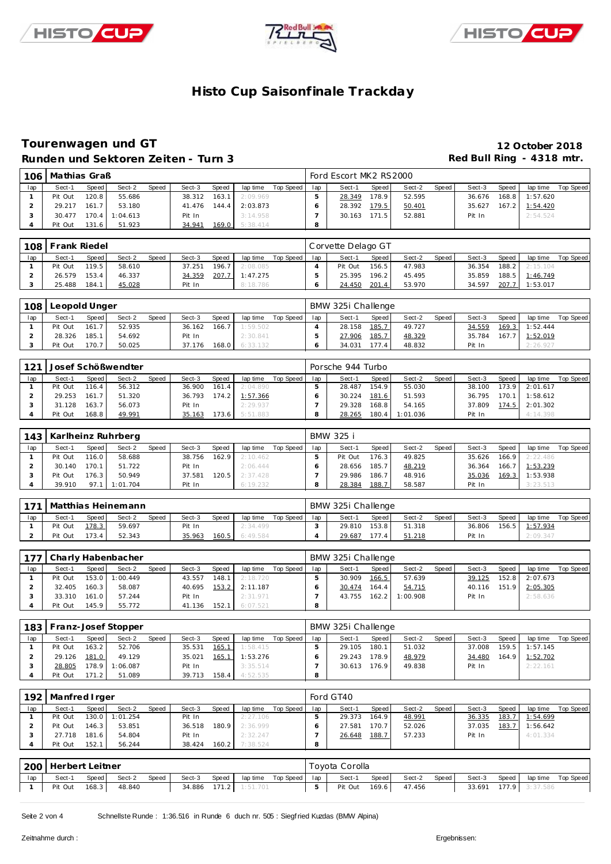





### **Tourenwagen und GT 12 October 2018** Runden und Sektoren Zeiten - Turn 3 **abel and Sektoren Zeiten - Turn 3 Red Bull Ring - 4318 mtr.**

| 106 | Mathias Graß |        |          |       |        |              |          |           |         | Ford Escort MK2 RS2000 |       |        |       |        |       |          |           |
|-----|--------------|--------|----------|-------|--------|--------------|----------|-----------|---------|------------------------|-------|--------|-------|--------|-------|----------|-----------|
| lap | Sect-1       | Speed  | Sect-2   | Speed | Sect-3 | <b>Speed</b> | lap time | Top Speed | lap     | Sect-1                 | Speed | Sect-2 | Speed | Sect-3 | Speed | lap time | Top Speed |
|     | Pit Out      | 120.8  | 55.686   |       | 38.312 | 163.1        | 2:09.969 |           |         | 28.349                 | 178.9 | 52.595 |       | 36.676 | 168.8 | 1:57.620 |           |
|     | 29.217       | 161.7  | 53.180   |       | 41.476 | 144.4        | 2:03.873 |           |         | 28.392                 | 179.5 | 50.401 |       | 35.627 | 167.2 | 1:54.420 |           |
|     | 30.477       | 170.4  | 1:04.613 |       | Pit In |              | 3:14.958 |           |         | 30.163                 | 171.5 | 52.881 |       | Pit In |       | 2:54.524 |           |
|     | Pit Out      | 131.61 | 51.923   |       | 34.941 | 169.0        | 5:38.414 |           | $\circ$ |                        |       |        |       |        |       |          |           |

|     | 108 Frank Riedel |       |        |       |        |       |          |           |     | Corvette Delago GT |         |        |       |        |       |                |           |
|-----|------------------|-------|--------|-------|--------|-------|----------|-----------|-----|--------------------|---------|--------|-------|--------|-------|----------------|-----------|
| lap | Sect-1           | Speed | Sect-2 | Speed | Sect-3 | Speed | lap time | Top Speed | lap | Sect-1             | Speed I | Sect-2 | Speed | Sect-3 | Speed | lap time       | Top Speed |
|     | Pit Out          | 119.5 | 58.610 |       | 37.251 | 196.7 | 2:08.085 |           |     | Pit Out            | 156.5   | 47.983 |       | 36.354 |       | 188.2 2:15.104 |           |
|     | 26.579           | 153.4 | 46.337 |       | 34.359 | 207.7 | 1:47.275 |           |     | 25.395             | 196.2   | 45.495 |       | 35.859 |       | 188.5 1:46.749 |           |
|     | 25.488           | 184.1 | 45.028 |       | Pit In |       | 8:18.786 |           |     | 24.450             | 201.4   | 53.970 |       | 34.597 | 207.7 | 1:53.017       |           |

| 108 | Leopold Unger |       |        |       |        |       |          |           |     | BMW 325i Challenge |       |        |        |        |       |          |           |
|-----|---------------|-------|--------|-------|--------|-------|----------|-----------|-----|--------------------|-------|--------|--------|--------|-------|----------|-----------|
| lap | Sect-1        | Speed | Sect-2 | Speed | Sect-3 | Speed | lap time | Top Speed | lap | Sect-1             | Speed | Sect-2 | Speed, | Sect-3 | Speed | lap time | Top Speed |
|     | Pit Out       | 161.7 | 52.935 |       | 36.162 | 166.7 | 1:59.502 |           |     | 28.158             | 185.7 | 49.727 |        | 34.559 | 169.3 | 1:52.444 |           |
|     | 28.326        | 185.1 | 54.692 |       | Pit In |       | 2:30.841 |           |     | 27.906             | 185.7 | 48.329 |        | 35.784 | 167.7 | 1:52.019 |           |
|     | Pit Out       | 170.7 | 50.025 |       | 37.176 | 168.0 | 6:33.132 |           |     | 34.031             | 177.4 | 48.832 |        | Pit In |       | 2:26.927 |           |

| 121 |         |       | Josef Schößwendter |       |        |       |          |           |     | Porsche 944 Turbo |                    |          |       |        |       |          |           |
|-----|---------|-------|--------------------|-------|--------|-------|----------|-----------|-----|-------------------|--------------------|----------|-------|--------|-------|----------|-----------|
| lap | Sect-1  | Speed | Sect-2             | Speed | Sect-3 | Speed | lap time | Top Speed | lap | Sect-1            | Speed              | Sect-2   | Speed | Sect-3 | Speed | lap time | Top Speed |
|     | Pit Out | 116.4 | 56.312             |       | 36.900 | 161.4 | 2:04.890 |           |     | 28.487            | 154.9 <sub>1</sub> | 55.030   |       | 38.100 | 173.9 | 2:01.617 |           |
|     | 29.253  | 161.7 | 51.320             |       | 36.793 | 174.2 | 1:57.366 |           |     | 30.224            | 181.6              | 51.593   |       | 36.795 | 170.1 | 1:58.612 |           |
|     | 31.128  | 163.7 | 56.073             |       | Pit In |       | 2:29.937 |           |     | 29.328            | 168.8              | 54.165   |       | 37.809 | 174.5 | 2:01.302 |           |
|     | Pit Out | 168.8 | 49.991             |       | 35.163 | 73.6  | 5:51.883 |           |     | 28.265            | 180.4              | 1:01.036 |       | Pit In |       | 4:14.398 |           |

|     |         |         | 143   Karlheinz Ruhrberg |              |        |       |          |           |     | BMW 325 i |                    |        |       |        |       |          |           |
|-----|---------|---------|--------------------------|--------------|--------|-------|----------|-----------|-----|-----------|--------------------|--------|-------|--------|-------|----------|-----------|
| lap | Sect-1  | Speed I | Sect-2                   | <b>Speed</b> | Sect-3 | Speed | lap time | Top Speed | lap | Sect-1    | Speed              | Sect-2 | Speed | Sect-3 | Speed | lap time | Top Speed |
|     | Pit Out | 116.0   | 58.688                   |              | 38.756 | 162.9 | 2:10.462 |           |     | Pit Out   | 176.31             | 49.825 |       | 35.626 | 166.9 | 2:22.486 |           |
|     | 30.140  | 170.1   | 51.722                   |              | Pit In |       | 2:06.444 |           |     | 28.656    | 185.7 <sub>1</sub> | 48.219 |       | 36.364 | 166.7 | 1:53.239 |           |
|     | Pit Out | 176.3   | 50.949                   |              | 37.581 | 120.5 | 2:37.428 |           |     | 29.986    | 186.7.             | 48.916 |       | 35.036 | 169.3 | 1:53.938 |           |
|     | 39.910  | 97.1    | 1:01.704                 |              | Pit In |       | 6:19.232 |           |     | 28.384    | 188.7              | 58.587 |       | Pit In |       | 3:23.513 |           |

| . 171 |         |         | Matthias Heinemann |       |        |       |          |           |     | BMW 325i Challenge |                 |        |       |        |       |          |           |
|-------|---------|---------|--------------------|-------|--------|-------|----------|-----------|-----|--------------------|-----------------|--------|-------|--------|-------|----------|-----------|
| lap   | Sect-1  | Speed I | Sect-2             | Speed | Sect-3 | Speed | lap time | Top Speed | lap | Sect-1             | Speed I         | Sect-2 | Speed | Sect-3 | Speed | lap time | Top Speed |
|       | Pit Out | 178.3   | 59.697             |       | Pit In |       | 2:34.499 |           |     | 29.810             | $153.8$ $\vert$ | 51.318 |       | 36.806 | 156.5 | 1:57.934 |           |
|       | Pit Out | $173.4$ | 52.343             |       | 35.963 | 160.5 | 6:49.584 |           |     | 29.687             | 177.4           | 51.218 |       | Pit In |       | 2:09.347 |           |

| 177 |         |       | Charly Habenbacher |              |        |         |          |           |     | BMW 325i Challenge |         |          |       |        |       |                |           |
|-----|---------|-------|--------------------|--------------|--------|---------|----------|-----------|-----|--------------------|---------|----------|-------|--------|-------|----------------|-----------|
| lap | Sect-1  | Speed | Sect-2             | <b>Speed</b> | Sect-3 | Speed   | lap time | Top Speed | lap | Sect-1             | Speed i | Sect-2   | Speed | Sect-3 | Speed | lap time       | Top Speed |
|     | Pit Out |       | 153.0 1:00.449     |              | 43.557 | 148.1 I | 2:18.720 |           |     | 30.909             | 166.5   | 57.639   |       | 39.125 |       | 152.8 2:07.673 |           |
|     | 32.405  | 160.3 | 58.087             |              | 40.695 | 153.2   | 2:11.187 |           |     | 30.474             | 164.4   | 54.715   |       | 40.116 |       | 151.9 2:05.305 |           |
|     | 33.310  | 161.0 | 57.244             |              | Pit In |         | 2:31.971 |           |     | 43.755             | 162.2   | 1:00.908 |       | Pit In |       | 2:58.636       |           |
|     | Pit Out | 145.9 | 55.772             |              | 41.136 | 152.1   | 6:07.521 |           |     |                    |         |          |       |        |       |                |           |

|     |         |         | 183   Franz-Josef Stopper |              |        |       |          |           |     | BMW 325i Challenge |       |        |       |        |       |          |           |
|-----|---------|---------|---------------------------|--------------|--------|-------|----------|-----------|-----|--------------------|-------|--------|-------|--------|-------|----------|-----------|
| lap | Sect-1  | Speed   | Sect-2                    | <b>Speed</b> | Sect-3 | Speed | lap time | Top Speed | lap | Sect-1             | Speed | Sect-2 | Speed | Sect-3 | Speed | lap time | Top Speed |
|     | Pit Out | 163.2   | 52.706                    |              | 35.531 | 165.1 | 1:58.415 |           |     | 29.105             | 180.1 | 51.032 |       | 37.008 | 159.5 | 1:57.145 |           |
|     | 29.126  | 181.0   | 49.129                    |              | 35.021 | 165.1 | 1:53.276 |           |     | 29.243             | 178.9 | 48.979 |       | 34.480 | 164.9 | 1:52.702 |           |
|     | 28.805  | 178.9   | 1:06.087                  |              | Pit In |       | 3:35.514 |           |     | 30.613             | 176.9 | 49.838 |       | Pit In |       | 2:22.161 |           |
|     | Pit Out | 171.2 l | 51.089                    |              | 39.713 | 158.4 | 4:52.535 |           |     |                    |       |        |       |        |       |          |           |

| 192 | Manfred I rger |       |                |       |        |       |          |           |     | Ford GT40 |       |        |       |        |       |          |           |
|-----|----------------|-------|----------------|-------|--------|-------|----------|-----------|-----|-----------|-------|--------|-------|--------|-------|----------|-----------|
| lap | Sect-1         | Speed | Sect-2         | Speed | Sect-3 | Speed | lap time | Top Speed | lap | Sect-1    | Speed | Sect-2 | Speed | Sect-3 | Speed | lap time | Top Speed |
|     | Pit Out        |       | 130.0 1:01.254 |       | Pit In |       | 2:27.106 |           |     | 29.373    | 164.9 | 48.991 |       | 36.335 | 183.7 | 1:54.699 |           |
|     | Pit Out        | 146.3 | 53.851         |       | 36.518 | 180.9 | 2:36.999 |           |     | 27.581    | 170.7 | 52.026 |       | 37.035 | 183.7 | 1:56.642 |           |
|     | 27.718         | 181.6 | 54.804         |       | Pit In |       | 2:32.247 |           |     | 26.648    | 188.7 | 57.233 |       | Pit In |       | 4:01.334 |           |
|     | Pit Out        | 152.1 | 56.244         |       | 38.424 | 160.2 | 7:38.524 |           |     |           |       |        |       |        |       |          |           |

|     | 200   Herbert Leitner<br>Speed<br>Speed<br>laptime Top Speed   lap<br>Sect-2<br>Sect-3<br>Speed  <br>Sect-1 |         |        |  |  |  |                       |  |  | Toyota Corolla |       |        |       |        |       |                |           |
|-----|-------------------------------------------------------------------------------------------------------------|---------|--------|--|--|--|-----------------------|--|--|----------------|-------|--------|-------|--------|-------|----------------|-----------|
| lap |                                                                                                             |         |        |  |  |  |                       |  |  | Sect-1         | Speed | Sect-2 | Speed | Sect-3 | Speed | lap time       | Top Speed |
|     | Pit Out                                                                                                     | $168.3$ | 48.840 |  |  |  | 34.886 171.2 1:51.701 |  |  | Pit Out        | 169.6 | 47.456 |       | 33.691 |       | 177.9 3:37.586 |           |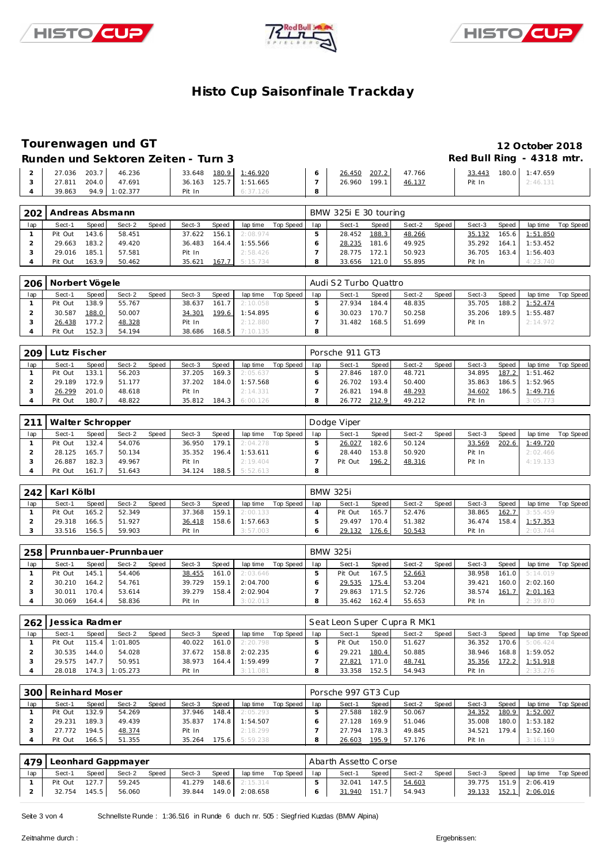





### **Tourenwagen und GT 12 October 2018**

Runden und Sektoren Zeiten - Turn 3 **abel and Sektoren Zeiten - Turn 3 Red Bull Ring - 4318 mtr.** 

| 203.7<br>46.236<br>27.036 | 180.9 1:46.920<br>33.648 | 207.2<br>47.766<br>26.450 | 33.443 | 180.0 1:47.659 |
|---------------------------|--------------------------|---------------------------|--------|----------------|
| 204.0<br>27.811<br>47.691 | 125.7 1:51.665<br>36.163 | 199.1<br>46.137<br>26.960 | Pit In | 2:46.131       |
| 39.863<br>94.9 1:02.377   | Pit In                   |                           |        |                |

| 202 | Andreas Absmann |       |        |       |        |              |          |           |     | BMW 325i E 30 touring |       |        |       |        |       |          |           |
|-----|-----------------|-------|--------|-------|--------|--------------|----------|-----------|-----|-----------------------|-------|--------|-------|--------|-------|----------|-----------|
| lap | Sect-1          | Speed | Sect-2 | Speed | Sect-3 | <b>Speed</b> | lap time | Top Speed | lap | Sect-1                | Speed | Sect-2 | Speed | Sect-3 | Speed | lap time | Top Speed |
|     | Pit Out         | 143.6 | 58.451 |       | 37.622 | 156.1        | 2:08.974 |           |     | 28.452                | 188.3 | 48.266 |       | 35.132 | 165.6 | 1:51.850 |           |
|     | 29.663          | 183.2 | 49.420 |       | 36.483 | 164.4        | 1:55.566 |           |     | 28.235                | 181.6 | 49.925 |       | 35.292 | 164.1 | 1:53.452 |           |
|     | 29.016          | 185.1 | 57.581 |       | Pit In |              | 2:58.426 |           |     | 28.775                | 172.1 | 50.923 |       | 36.705 | 163.4 | 1:56.403 |           |
|     | Pit Out         | 163.9 | 50.462 |       | 35.621 | 167.7        | 5:15.734 |           |     | 33.656                | 121.0 | 55.895 |       | Pit In |       | 4:23.740 |           |

| 206 |         | Norbert Vögele<br>Speed<br>Speed<br>Sect-2<br>Speed  <br>lap time<br>Sect-3<br>Sect-1<br>138.91<br>55.767<br>161.7<br>2:10.058<br>38.637<br>188.0<br>50.007<br>199.6<br>1:54.895<br>34.301 |        |  |        |       |          |             |     | Audi S2 Turbo Quattro |         |        |         |        |       |          |           |
|-----|---------|--------------------------------------------------------------------------------------------------------------------------------------------------------------------------------------------|--------|--|--------|-------|----------|-------------|-----|-----------------------|---------|--------|---------|--------|-------|----------|-----------|
| lap |         |                                                                                                                                                                                            |        |  |        |       |          | Top Speed I | lap | Sect-1                | Speed I | Sect-2 | Speed I | Sect-3 | Speed | lap time | Top Speed |
|     | Pit Out |                                                                                                                                                                                            |        |  |        |       |          |             |     | 27.934                | 184.4   | 48.835 |         | 35.705 | 188.2 | 1:52.474 |           |
|     | 30.587  |                                                                                                                                                                                            |        |  |        |       |          |             |     | 30.023                | 170.7   | 50.258 |         | 35.206 | 189.5 | 1:55.487 |           |
|     | 26.438  | 177.2                                                                                                                                                                                      | 48.328 |  | Pit In |       | 2:12.880 |             |     | 31.482                | 168.5   | 51.699 |         | Pit In |       | 2:14.972 |           |
|     | Pit Out | 152.3                                                                                                                                                                                      | 54.194 |  | 38.686 | 168.5 | 7:10.135 |             |     |                       |         |        |         |        |       |          |           |

| 209 | Lutz Fischer |       |        |              |        |       |          |           |     | Porsche 911 GT3 |       |        |       |        |       |          |           |
|-----|--------------|-------|--------|--------------|--------|-------|----------|-----------|-----|-----------------|-------|--------|-------|--------|-------|----------|-----------|
| lap | Sect-1       | Speed | Sect-2 | <b>Speed</b> | Sect-3 | Speed | lap time | Top Speed | lap | Sect-1          | Speed | Sect-2 | Speed | Sect-3 | Speed | lap time | Top Speed |
|     | Pit Out      | 133.1 | 56.203 |              | 37.205 | 169.3 | 2:05.637 |           |     | 27.846          | 187.0 | 48.721 |       | 34.895 | 187.2 | 1:51.462 |           |
|     | 29.189       | 172.9 | 51.177 |              | 37.202 | 184.0 | 1:57.568 |           |     | 26.702          | 193.4 | 50.400 |       | 35.863 | 186.5 | 1:52.965 |           |
|     | 26.299       | 201.0 | 48.618 |              | Pit In |       | 2:14.331 |           |     | 26.821          | 194.8 | 48.293 |       | 34.602 | 186.5 | 1:49.716 |           |
|     | Pit Out      | 180.7 | 48.822 |              | 35.812 | 184.3 | 6:00.126 |           |     | 26.772          | 212.9 | 49.212 |       | Pit In |       | 3:05.773 |           |

| 211 | Walter Schropper |         |        |       |        |       |          |           |     | Dodge Viper |       |        |       |        |       |          |           |
|-----|------------------|---------|--------|-------|--------|-------|----------|-----------|-----|-------------|-------|--------|-------|--------|-------|----------|-----------|
| lap | Sect-1           | Speed I | Sect-2 | Speed | Sect-3 | Speed | lap time | Top Speed | lap | Sect-1      | Speed | Sect-2 | Speed | Sect-3 | Speed | lap time | Top Speed |
|     | Pit Out          | 132.4   | 54.076 |       | 36.950 | 179.1 | 2:04.278 |           |     | 26.027      | 182.6 | 50.124 |       | 33.569 | 202.6 | 1:49.720 |           |
|     | 28.125           | 165.7   | 50.134 |       | 35.352 | 196.4 | 1:53.611 |           |     | 28.440      | 153.8 | 50.920 |       | Pit In |       | 2:02.466 |           |
|     | 26.887           | 182.3   | 49.967 |       | Pit In |       | 2:19.404 |           |     | Pit Out     | 196.2 | 48.316 |       | Pit In |       | 4:19.133 |           |
|     | Pit Out          | 161.7   | 51.643 |       | 34.124 | 188.5 | 5:52.613 |           |     |             |       |        |       |        |       |          |           |

| 242 | Karl Kölbl |       |        |       |        |       |          |           |     | <b>BMW 325i</b> |              |        |        |        |       |          |           |
|-----|------------|-------|--------|-------|--------|-------|----------|-----------|-----|-----------------|--------------|--------|--------|--------|-------|----------|-----------|
| lap | Sect-1     | Speed | Sect-2 | Speed | Sect-3 | Speed | lap time | Top Speed | lap | Sect-1          | Speed        | Sect-2 | Speed, | Sect-3 | Speed | lap time | Top Speed |
|     | Pit Out    | 165.2 | 52.349 |       | 37.368 | 159.1 | 2:00.133 |           |     | Pit Out         | 165.7        | 52.476 |        | 38.865 | 162.7 | 3:55.459 |           |
|     | 29.318     | 166.5 | 51.927 |       | 36.418 | 158.6 | 1:57.663 |           |     | 29.497          | 170.4        | 51.382 |        | 36.474 | 158.4 | 1:57.353 |           |
| ر - | 33.516     | 156.5 | 59.903 |       | Pit In |       | 3:57.003 |           |     | 29.132          | <u>176.6</u> | 50.543 |        | Pit In |       | 2:03.744 |           |

| 258 |         |        | Prunnbauer-Prunnbauer |       |        |              |          |           |     | <b>BMW 325i</b> |       |        |       |        |        |          |           |
|-----|---------|--------|-----------------------|-------|--------|--------------|----------|-----------|-----|-----------------|-------|--------|-------|--------|--------|----------|-----------|
| lap | Sect-1  | Speed  | Sect-2                | Speed | Sect-3 | <b>Speed</b> | lap time | Top Speed | lap | Sect-1          | Speed | Sect-2 | Speed | Sect-3 | Speed  | lap time | Top Speed |
|     | Pit Out | 145.11 | 54.406                |       | 38.455 | 161.0        | 2:03.646 |           |     | Pit Out         | 167.5 | 52.663 |       | 38.958 | 161.0  | 5:14.019 |           |
|     | 30.210  | 164.2  | 54.761                |       | 39.729 | 159.1        | 2:04.700 |           |     | 29.535          | 175.4 | 53.204 |       | 39.421 | 160.01 | 2:02.160 |           |
|     | 30.011  | 170.41 | 53.614                |       | 39.279 | 158.4        | 2:02.904 |           |     | 29.863          | 171.5 | 52.726 |       | 38.574 | 161.7  | 2:01.163 |           |
|     | 30.069  | 164.4  | 58.836                |       | Pit In |              | 3:02.013 |           |     | 35.462          | 162.4 | 55.653 |       | Pit In |        | 2:39.870 |           |

| 262 | Jessica Radmer |         |                |       |        |       |          |           |     | Seat Leon Super Cupra R MK1 |       |        |       |        |       |          |           |
|-----|----------------|---------|----------------|-------|--------|-------|----------|-----------|-----|-----------------------------|-------|--------|-------|--------|-------|----------|-----------|
| lap | Sect-1         | Speed I | Sect-2         | Speed | Sect-3 | Speed | lap time | Top Speed | lap | Sect-1                      | Speed | Sect-2 | Speed | Sect-3 | Speed | lap time | Top Speed |
|     | Pit Out        |         | 115.4 1:01.805 |       | 40.022 | 161.0 | 2:20.798 |           |     | Pit Out                     | 150.0 | 51.627 |       | 36.352 | 170.6 | 5:06.424 |           |
|     | 30.535         | 144.O I | 54.028         |       | 37.672 | 158.8 | 2:02.235 |           |     | 29.221                      | 180.4 | 50.885 |       | 38.946 | 168.8 | 1:59.052 |           |
|     | 29.575         | 147.7   | 50.951         |       | 38.973 | 164.4 | 1:59.499 |           |     | 27.821                      | 171.0 | 48.741 |       | 35.356 | 172.2 | 1:51.918 |           |
|     | 28.018         | 174.3   | 1:05.273       |       | Pit In |       | 3:11.081 |           |     | 33.358                      | 152.5 | 54.943 |       | Pit In |       | 2:33.276 |           |

|     | 300   Reinhard Moser |       |        |       |        |       |          |           |     | Porsche 997 GT3 Cup |       |        |       |        |       |          |           |
|-----|----------------------|-------|--------|-------|--------|-------|----------|-----------|-----|---------------------|-------|--------|-------|--------|-------|----------|-----------|
| lap | Sect-1               | Speed | Sect-2 | Speed | Sect-3 | Speed | lap time | Top Speed | lap | Sect-1              | Speed | Sect-2 | Speed | Sect-3 | Speed | lap time | Top Speed |
|     | Pit Out              | 132.9 | 54.269 |       | 37.946 | 148.4 | 2:05.293 |           |     | 27.588              | 182.9 | 50.067 |       | 34.352 | 180.9 | 1:52.007 |           |
|     | 29.231               | 189.3 | 49.439 |       | 35.837 | 174.8 | 1:54.507 |           |     | 27.128              | 169.9 | 51.046 |       | 35.008 | 180.0 | 1:53.182 |           |
|     | 27.772               | 194.5 | 48.374 |       | Pit In |       | 2:18.299 |           |     | 27.794              | 178.3 | 49.845 |       | 34.521 | 179.4 | 1:52.160 |           |
|     | Pit Out              | 166.5 | 51.355 |       | 35.264 | 75.6  | 5:59.238 |           |     | 26.603              | 195.9 | 57.176 |       | Pit In |       | 3:16.119 |           |

| 479 |         |       | Leonhard Gappmayer |       |        |       |          |           |     | Abarth Assetto Corse |       |        |       |        |       |                  |           |
|-----|---------|-------|--------------------|-------|--------|-------|----------|-----------|-----|----------------------|-------|--------|-------|--------|-------|------------------|-----------|
| lap | Sect-1  | Speed | Sect-2             | Speed | Sect-3 | Speed | lap time | Top Speed | lap | Sect-1               | Speed | Sect-2 | Speed | Sect-3 | Speed | lap time         | Top Speed |
|     | Pit Out | 127.7 | 59.245             |       | 41.279 | 148.6 | 2:15.314 |           |     | 32.041               | 147.5 | 54.603 |       | 39.775 |       | $151.9$ 2:06.419 |           |
|     | 32.754  | 145.5 | 56.060             |       | 39.844 | 149.0 | 2:08.658 |           |     | 31.940               | 151.7 | 54.943 |       | 39.133 | 152.1 | 2:06.016         |           |